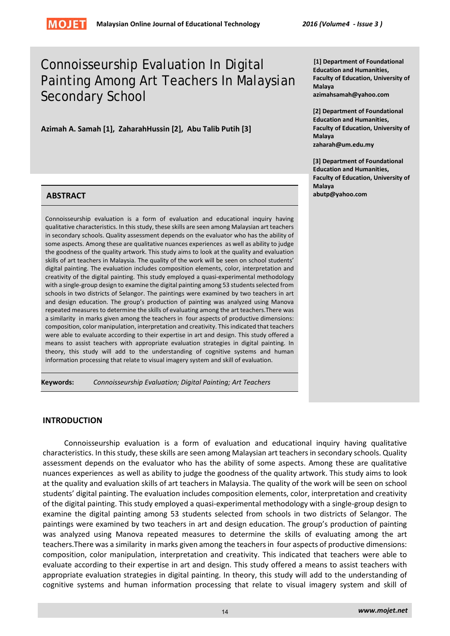# Connoisseurship Evaluation In Digital Painting Among Art Teachers In Malaysian Secondary School

**Azimah A. Samah [1], ZaharahHussin [2], Abu Talib Putih [3]**

# **ABSTRACT abutp@yahoo.com**

Connoisseurship evaluation is a form of evaluation and educational inquiry having qualitative characteristics. In this study, these skills are seen among Malaysian art teachers in secondary schools. Quality assessment depends on the evaluator who has the ability of some aspects. Among these are qualitative nuances experiences as well as ability to judge the goodness of the quality artwork. This study aims to look at the quality and evaluation skills of art teachers in Malaysia. The quality of the work will be seen on school students' digital painting. The evaluation includes composition elements, color, interpretation and creativity of the digital painting. This study employed a quasi-experimental methodology with a single-group design to examine the digital painting among 53 students selected from schools in two districts of Selangor. The paintings were examined by two teachers in art and design education. The group's production of painting was analyzed using Manova repeated measures to determine the skills of evaluating among the art teachers.There was a similarity in marks given among the teachers in four aspects of productive dimensions: composition, color manipulation, interpretation and creativity. This indicated that teachers were able to evaluate according to their expertise in art and design. This study offered a means to assist teachers with appropriate evaluation strategies in digital painting. In theory, this study will add to the understanding of cognitive systems and human information processing that relate to visual imagery system and skill of evaluation.

**Keywords:** *Connoisseurship Evaluation; Digital Painting; Art Teachers*

# **INTRODUCTION**

Connoisseurship evaluation is a form of evaluation and educational inquiry having qualitative characteristics. In this study, these skills are seen among Malaysian art teachers in secondary schools. Quality assessment depends on the evaluator who has the ability of some aspects. Among these are qualitative nuances experiences as well as ability to judge the goodness of the quality artwork. This study aims to look at the quality and evaluation skills of art teachers in Malaysia. The quality of the work will be seen on school students' digital painting. The evaluation includes composition elements, color, interpretation and creativity of the digital painting. This study employed a quasi-experimental methodology with a single-group design to examine the digital painting among 53 students selected from schools in two districts of Selangor. The paintings were examined by two teachers in art and design education. The group's production of painting was analyzed using Manova repeated measures to determine the skills of evaluating among the art teachers.There was a similarity in marks given among the teachers in four aspects of productive dimensions: composition, color manipulation, interpretation and creativity. This indicated that teachers were able to evaluate according to their expertise in art and design. This study offered a means to assist teachers with appropriate evaluation strategies in digital painting. In theory, this study will add to the understanding of cognitive systems and human information processing that relate to visual imagery system and skill of

**[1] Department of Foundational Education and Humanities, Faculty of Education, University of Malaya azimahsamah@yahoo.com** 

**[2] Department of Foundational Education and Humanities, Faculty of Education, University of Malaya zaharah@um.edu.my** 

**[3] Department of Foundational Education and Humanities, Faculty of Education, University of Malaya**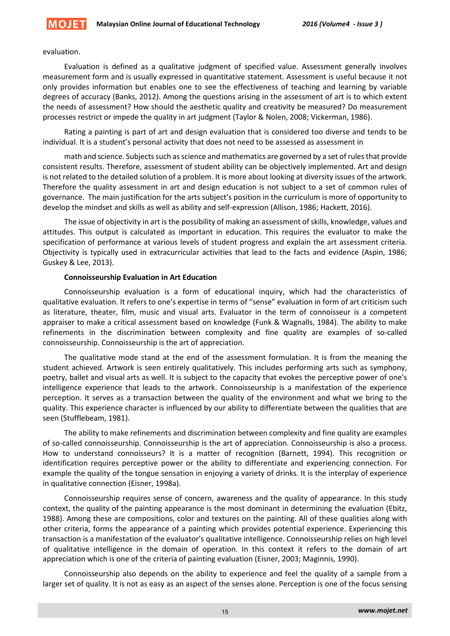

#### evaluation.

Evaluation is defined as a qualitative judgment of specified value. Assessment generally involves measurement form and is usually expressed in quantitative statement. Assessment is useful because it not only provides information but enables one to see the effectiveness of teaching and learning by variable degrees of accuracy (Banks, 2012). Among the questions arising in the assessment of art is to which extent the needs of assessment? How should the aesthetic quality and creativity be measured? Do measurement processes restrict or impede the quality in art judgment (Taylor & Nolen, 2008; Vickerman, 1986).

Rating a painting is part of art and design evaluation that is considered too diverse and tends to be individual. It is a student's personal activity that does not need to be assessed as assessment in

math and science. Subjects such as science and mathematics are governed by a set of rules that provide consistent results. Therefore, assessment of student ability can be objectively implemented. Art and design is not related to the detailed solution of a problem. It is more about looking at diversity issues of the artwork. Therefore the quality assessment in art and design education is not subject to a set of common rules of governance. The main justification for the arts subject's position in the curriculum is more of opportunity to develop the mindset and skills as well as ability and self-expression (Allison, 1986; Hackett, 2016).

The issue of objectivity in art is the possibility of making an assessment of skills, knowledge, values and attitudes. This output is calculated as important in education. This requires the evaluator to make the specification of performance at various levels of student progress and explain the art assessment criteria. Objectivity is typically used in extracurricular activities that lead to the facts and evidence (Aspin, 1986; Guskey & Lee, 2013).

#### **Connoisseurship Evaluation in Art Education**

Connoisseurship evaluation is a form of educational inquiry, which had the characteristics of qualitative evaluation. It refers to one's expertise in terms of "sense" evaluation in form of art criticism such as literature, theater, film, music and visual arts. Evaluator in the term of connoisseur is a competent appraiser to make a critical assessment based on knowledge (Funk & Wagnalls, 1984). The ability to make refinements in the discrimination between complexity and fine quality are examples of so-called connoisseurship. Connoisseurship is the art of appreciation.

The qualitative mode stand at the end of the assessment formulation. It is from the meaning the student achieved. Artwork is seen entirely qualitatively. This includes performing arts such as symphony, poetry, ballet and visual arts as well. It is subject to the capacity that evokes the perceptive power of one's intelligence experience that leads to the artwork. Connoisseurship is a manifestation of the experience perception. It serves as a transaction between the quality of the environment and what we bring to the quality. This experience character is influenced by our ability to differentiate between the qualities that are seen (Stufflebeam, 1981).

The ability to make refinements and discrimination between complexity and fine quality are examples of so-called connoisseurship. Connoisseurship is the art of appreciation. Connoisseurship is also a process. How to understand connoisseurs? It is a matter of recognition (Barnett, 1994). This recognition or identification requires perceptive power or the ability to differentiate and experiencing connection. For example the quality of the tongue sensation in enjoying a variety of drinks. It is the interplay of experience in qualitative connection (Eisner, 1998a).

Connoisseurship requires sense of concern, awareness and the quality of appearance. In this study context, the quality of the painting appearance is the most dominant in determining the evaluation (Ebitz, 1988). Among these are compositions, color and textures on the painting. All of these qualities along with other criteria, forms the appearance of a painting which provides potential experience. Experiencing this transaction is a manifestation of the evaluator's qualitative intelligence. Connoisseurship relies on high level of qualitative intelligence in the domain of operation. In this context it refers to the domain of art appreciation which is one of the criteria of painting evaluation (Eisner, 2003; Maginnis, 1990).

Connoisseurship also depends on the ability to experience and feel the quality of a sample from a larger set of quality. It is not as easy as an aspect of the senses alone. Perception is one of the focus sensing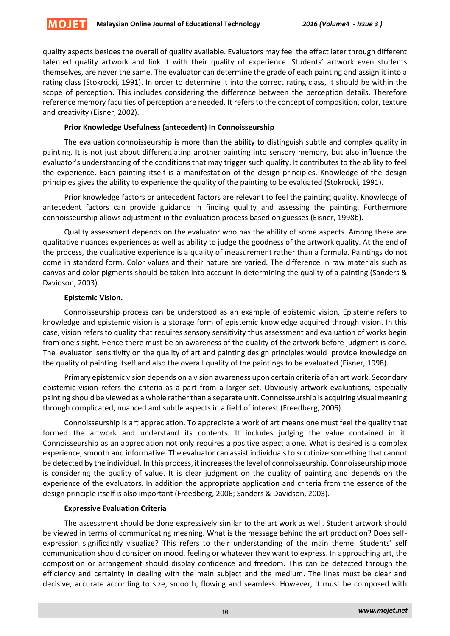

quality aspects besides the overall of quality available. Evaluators may feel the effect later through different talented quality artwork and link it with their quality of experience. Students' artwork even students themselves, are never the same. The evaluator can determine the grade of each painting and assign it into a rating class (Stokrocki, 1991). In order to determine it into the correct rating class, it should be within the scope of perception. This includes considering the difference between the perception details. Therefore reference memory faculties of perception are needed. It refers to the concept of composition, color, texture and creativity (Eisner, 2002).

# **Prior Knowledge Usefulness (antecedent) In Connoisseurship**

The evaluation connoisseurship is more than the ability to distinguish subtle and complex quality in painting. It is not just about differentiating another painting into sensory memory, but also influence the evaluator's understanding of the conditions that may trigger such quality. It contributes to the ability to feel the experience. Each painting itself is a manifestation of the design principles. Knowledge of the design principles gives the ability to experience the quality of the painting to be evaluated (Stokrocki, 1991).

Prior knowledge factors or antecedent factors are relevant to feel the painting quality. Knowledge of antecedent factors can provide guidance in finding quality and assessing the painting. Furthermore connoisseurship allows adjustment in the evaluation process based on guesses (Eisner, 1998b).

Quality assessment depends on the evaluator who has the ability of some aspects. Among these are qualitative nuances experiences as well as ability to judge the goodness of the artwork quality. At the end of the process, the qualitative experience is a quality of measurement rather than a formula. Paintings do not come in standard form. Color values and their nature are varied. The difference in raw materials such as canvas and color pigments should be taken into account in determining the quality of a painting (Sanders & Davidson, 2003).

# **Epistemic Vision.**

Connoisseurship process can be understood as an example of epistemic vision. Episteme refers to knowledge and epistemic vision is a storage form of epistemic knowledge acquired through vision. In this case, vision refers to quality that requires sensory sensitivity thus assessment and evaluation of works begin from one's sight. Hence there must be an awareness of the quality of the artwork before judgment is done. The evaluator sensitivity on the quality of art and painting design principles would provide knowledge on the quality of painting itself and also the overall quality of the paintings to be evaluated (Eisner, 1998).

Primary epistemic vision depends on a vision awareness upon certain criteria of an art work. Secondary epistemic vision refers the criteria as a part from a larger set. Obviously artwork evaluations, especially painting should be viewed as a whole rather than a separate unit. Connoisseurship is acquiring visual meaning through complicated, nuanced and subtle aspects in a field of interest (Freedberg, 2006).

Connoisseurship is art appreciation. To appreciate a work of art means one must feel the quality that formed the artwork and understand its contents. It includes judging the value contained in it. Connoisseurship as an appreciation not only requires a positive aspect alone. What is desired is a complex experience, smooth and informative. The evaluator can assist individuals to scrutinize something that cannot be detected by the individual. In this process, it increases the level of connoisseurship. Connoisseurship mode is considering the quality of value. It is clear judgment on the quality of painting and depends on the experience of the evaluators. In addition the appropriate application and criteria from the essence of the design principle itself is also important (Freedberg, 2006; Sanders & Davidson, 2003).

# **Expressive Evaluation Criteria**

The assessment should be done expressively similar to the art work as well. Student artwork should be viewed in terms of communicating meaning. What is the message behind the art production? Does selfexpression significantly visualize? This refers to their understanding of the main theme. Students' self communication should consider on mood, feeling or whatever they want to express. In approaching art, the composition or arrangement should display confidence and freedom. This can be detected through the efficiency and certainty in dealing with the main subject and the medium. The lines must be clear and decisive, accurate according to size, smooth, flowing and seamless. However, it must be composed with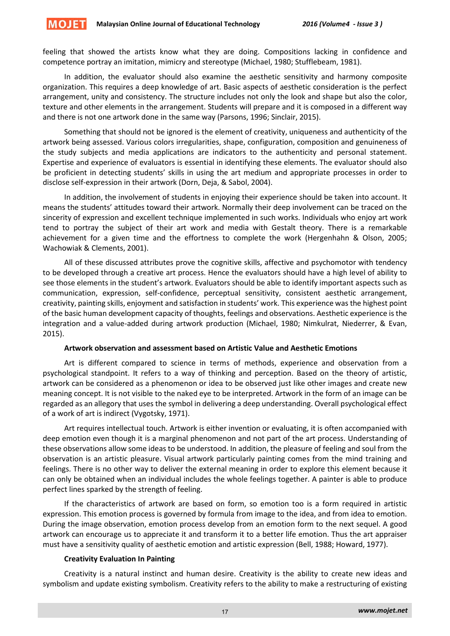**MOJET** 

feeling that showed the artists know what they are doing. Compositions lacking in confidence and competence portray an imitation, mimicry and stereotype (Michael, 1980; Stufflebeam, 1981).

In addition, the evaluator should also examine the aesthetic sensitivity and harmony composite organization. This requires a deep knowledge of art. Basic aspects of aesthetic consideration is the perfect arrangement, unity and consistency. The structure includes not only the look and shape but also the color, texture and other elements in the arrangement. Students will prepare and it is composed in a different way and there is not one artwork done in the same way (Parsons, 1996; Sinclair, 2015).

Something that should not be ignored is the element of creativity, uniqueness and authenticity of the artwork being assessed. Various colors irregularities, shape, configuration, composition and genuineness of the study subjects and media applications are indicators to the authenticity and personal statement. Expertise and experience of evaluators is essential in identifying these elements. The evaluator should also be proficient in detecting students' skills in using the art medium and appropriate processes in order to disclose self-expression in their artwork (Dorn, Deja, & Sabol, 2004).

In addition, the involvement of students in enjoying their experience should be taken into account. It means the students' attitudes toward their artwork. Normally their deep involvement can be traced on the sincerity of expression and excellent technique implemented in such works. Individuals who enjoy art work tend to portray the subject of their art work and media with Gestalt theory. There is a remarkable achievement for a given time and the effortness to complete the work (Hergenhahn & Olson, 2005; Wachowiak & Clements, 2001).

All of these discussed attributes prove the cognitive skills, affective and psychomotor with tendency to be developed through a creative art process. Hence the evaluators should have a high level of ability to see those elements in the student's artwork. Evaluators should be able to identify important aspects such as communication, expression, self-confidence, perceptual sensitivity, consistent aesthetic arrangement, creativity, painting skills, enjoyment and satisfaction in students' work. This experience was the highest point of the basic human development capacity of thoughts, feelings and observations. Aesthetic experience is the integration and a value-added during artwork production (Michael, 1980; Nimkulrat, Niederrer, & Evan, 2015).

#### **Artwork observation and assessment based on Artistic Value and Aesthetic Emotions**

Art is different compared to science in terms of methods, experience and observation from a psychological standpoint. It refers to a way of thinking and perception. Based on the theory of artistic, artwork can be considered as a phenomenon or idea to be observed just like other images and create new meaning concept. It is not visible to the naked eye to be interpreted. Artwork in the form of an image can be regarded as an allegory that uses the symbol in delivering a deep understanding. Overall psychological effect of a work of art is indirect (Vygotsky, 1971).

Art requires intellectual touch. Artwork is either invention or evaluating, it is often accompanied with deep emotion even though it is a marginal phenomenon and not part of the art process. Understanding of these observations allow some ideas to be understood. In addition, the pleasure of feeling and soul from the observation is an artistic pleasure. Visual artwork particularly painting comes from the mind training and feelings. There is no other way to deliver the external meaning in order to explore this element because it can only be obtained when an individual includes the whole feelings together. A painter is able to produce perfect lines sparked by the strength of feeling.

If the characteristics of artwork are based on form, so emotion too is a form required in artistic expression. This emotion process is governed by formula from image to the idea, and from idea to emotion. During the image observation, emotion process develop from an emotion form to the next sequel. A good artwork can encourage us to appreciate it and transform it to a better life emotion. Thus the art appraiser must have a sensitivity quality of aesthetic emotion and artistic expression (Bell, 1988; Howard, 1977).

#### **Creativity Evaluation In Painting**

Creativity is a natural instinct and human desire. Creativity is the ability to create new ideas and symbolism and update existing symbolism. Creativity refers to the ability to make a restructuring of existing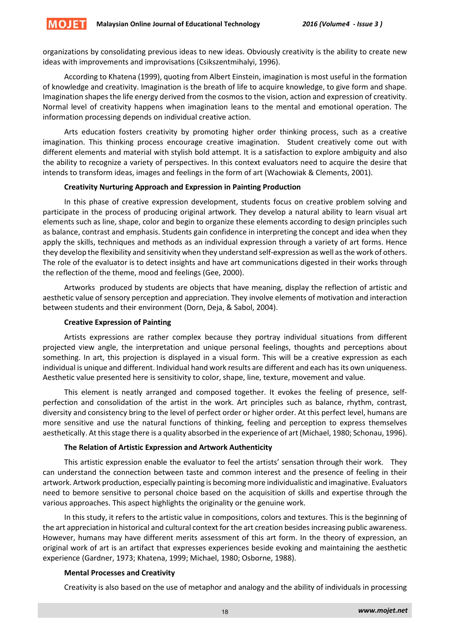**MOJET** 

organizations by consolidating previous ideas to new ideas. Obviously creativity is the ability to create new ideas with improvements and improvisations (Csikszentmihalyi, 1996).

According to Khatena (1999), quoting from Albert Einstein, imagination is most useful in the formation of knowledge and creativity. Imagination is the breath of life to acquire knowledge, to give form and shape. Imagination shapes the life energy derived from the cosmos to the vision, action and expression of creativity. Normal level of creativity happens when imagination leans to the mental and emotional operation. The information processing depends on individual creative action.

Arts education fosters creativity by promoting higher order thinking process, such as a creative imagination. This thinking process encourage creative imagination. Student creatively come out with different elements and material with stylish bold attempt. It is a satisfaction to explore ambiguity and also the ability to recognize a variety of perspectives. In this context evaluators need to acquire the desire that intends to transform ideas, images and feelings in the form of art (Wachowiak & Clements, 2001).

## **Creativity Nurturing Approach and Expression in Painting Production**

In this phase of creative expression development, students focus on creative problem solving and participate in the process of producing original artwork. They develop a natural ability to learn visual art elements such as line, shape, color and begin to organize these elements according to design principles such as balance, contrast and emphasis. Students gain confidence in interpreting the concept and idea when they apply the skills, techniques and methods as an individual expression through a variety of art forms. Hence they develop the flexibility and sensitivity when they understand self-expression as well as the work of others. The role of the evaluator is to detect insights and have art communications digested in their works through the reflection of the theme, mood and feelings (Gee, 2000).

Artworks produced by students are objects that have meaning, display the reflection of artistic and aesthetic value of sensory perception and appreciation. They involve elements of motivation and interaction between students and their environment (Dorn, Deja, & Sabol, 2004).

## **Creative Expression of Painting**

Artists expressions are rather complex because they portray individual situations from different projected view angle, the interpretation and unique personal feelings, thoughts and perceptions about something. In art, this projection is displayed in a visual form. This will be a creative expression as each individual is unique and different. Individual hand work results are different and each has its own uniqueness. Aesthetic value presented here is sensitivity to color, shape, line, texture, movement and value.

This element is neatly arranged and composed together. It evokes the feeling of presence, selfperfection and consolidation of the artist in the work. Art principles such as balance, rhythm, contrast, diversity and consistency bring to the level of perfect order or higher order. At this perfect level, humans are more sensitive and use the natural functions of thinking, feeling and perception to express themselves aesthetically. At this stage there is a quality absorbed in the experience of art (Michael, 1980; Schonau, 1996).

## **The Relation of Artistic Expression and Artwork Authenticity**

This artistic expression enable the evaluator to feel the artists' sensation through their work. They can understand the connection between taste and common interest and the presence of feeling in their artwork. Artwork production, especially painting is becoming more individualistic and imaginative. Evaluators need to bemore sensitive to personal choice based on the acquisition of skills and expertise through the various approaches. This aspect highlights the originality or the genuine work.

In this study, it refers to the artistic value in compositions, colors and textures. This is the beginning of the art appreciation in historical and cultural context for the art creation besides increasing public awareness. However, humans may have different merits assessment of this art form. In the theory of expression, an original work of art is an artifact that expresses experiences beside evoking and maintaining the aesthetic experience (Gardner, 1973; Khatena, 1999; Michael, 1980; Osborne, 1988).

#### **Mental Processes and Creativity**

Creativity is also based on the use of metaphor and analogy and the ability of individuals in processing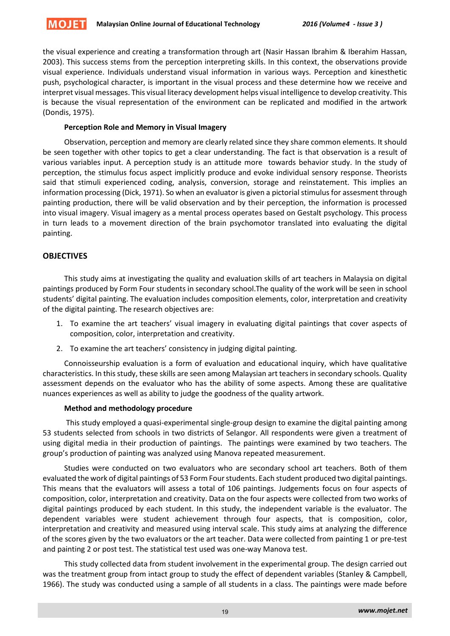

the visual experience and creating a transformation through art (Nasir Hassan Ibrahim & Iberahim Hassan, 2003). This success stems from the perception interpreting skills. In this context, the observations provide visual experience. Individuals understand visual information in various ways. Perception and kinesthetic push, psychological character, is important in the visual process and these determine how we receive and interpret visual messages. This visual literacy development helps visual intelligence to develop creativity. This is because the visual representation of the environment can be replicated and modified in the artwork (Dondis, 1975).

# **Perception Role and Memory in Visual Imagery**

Observation, perception and memory are clearly related since they share common elements. It should be seen together with other topics to get a clear understanding. The fact is that observation is a result of various variables input. A perception study is an attitude more towards behavior study. In the study of perception, the stimulus focus aspect implicitly produce and evoke individual sensory response. Theorists said that stimuli experienced coding, analysis, conversion, storage and reinstatement. This implies an information processing (Dick, 1971). So when an evaluator is given a pictorial stimulus for assesment through painting production, there will be valid observation and by their perception, the information is processed into visual imagery. Visual imagery as a mental process operates based on Gestalt psychology. This process in turn leads to a movement direction of the brain psychomotor translated into evaluating the digital painting.

# **OBJECTIVES**

This study aims at investigating the quality and evaluation skills of art teachers in Malaysia on digital paintings produced by Form Four students in secondary school.The quality of the work will be seen in school students' digital painting. The evaluation includes composition elements, color, interpretation and creativity of the digital painting. The research objectives are:

- 1. To examine the art teachers' visual imagery in evaluating digital paintings that cover aspects of composition, color, interpretation and creativity.
- 2. To examine the art teachers' consistency in judging digital painting.

Connoisseurship evaluation is a form of evaluation and educational inquiry, which have qualitative characteristics. In this study, these skills are seen among Malaysian art teachers in secondary schools. Quality assessment depends on the evaluator who has the ability of some aspects. Among these are qualitative nuances experiences as well as ability to judge the goodness of the quality artwork.

# **Method and methodology procedure**

This study employed a quasi-experimental single-group design to examine the digital painting among 53 students selected from schools in two districts of Selangor. All respondents were given a treatment of using digital media in their production of paintings. The paintings were examined by two teachers. The group's production of painting was analyzed using Manova repeated measurement.

Studies were conducted on two evaluators who are secondary school art teachers. Both of them evaluated the work of digital paintings of 53 Form Four students. Each student produced two digital paintings. This means that the evaluators will assess a total of 106 paintings. Judgements focus on four aspects of composition, color, interpretation and creativity. Data on the four aspects were collected from two works of digital paintings produced by each student. In this study, the independent variable is the evaluator. The dependent variables were student achievement through four aspects, that is composition, color, interpretation and creativity and measured using interval scale. This study aims at analyzing the difference of the scores given by the two evaluators or the art teacher. Data were collected from painting 1 or pre-test and painting 2 or post test. The statistical test used was one-way Manova test.

This study collected data from student involvement in the experimental group. The design carried out was the treatment group from intact group to study the effect of dependent variables (Stanley & Campbell, 1966). The study was conducted using a sample of all students in a class. The paintings were made before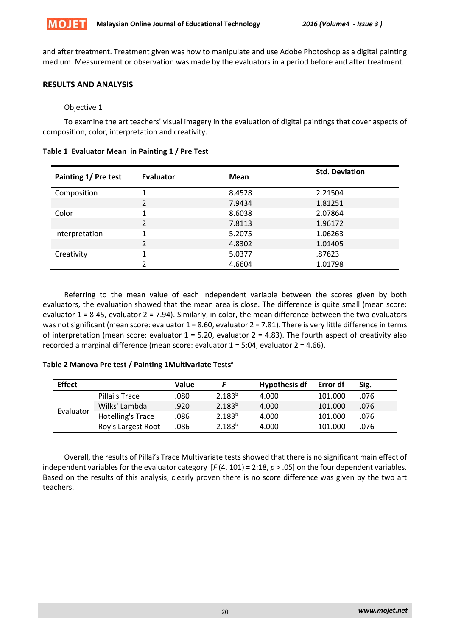

and after treatment. Treatment given was how to manipulate and use Adobe Photoshop as a digital painting medium. Measurement or observation was made by the evaluators in a period before and after treatment.

# **RESULTS AND ANALYSIS**

# Objective 1

To examine the art teachers' visual imagery in the evaluation of digital paintings that cover aspects of composition, color, interpretation and creativity.

| Painting 1/ Pre test | Evaluator                | Mean   | <b>Std. Deviation</b> |
|----------------------|--------------------------|--------|-----------------------|
| Composition          | 1                        | 8.4528 | 2.21504               |
|                      | $\overline{2}$           | 7.9434 | 1.81251               |
| Color                | 1                        | 8.6038 | 2.07864               |
|                      | $\overline{2}$           | 7.8113 | 1.96172               |
| Interpretation       | 1                        | 5.2075 | 1.06263               |
|                      | $\overline{\phantom{a}}$ | 4.8302 | 1.01405               |
| Creativity           | 1                        | 5.0377 | .87623                |
|                      | 2                        | 4.6604 | 1.01798               |

**Table 1 Evaluator Mean in Painting 1 / Pre Test**

Referring to the mean value of each independent variable between the scores given by both evaluators, the evaluation showed that the mean area is close. The difference is quite small (mean score: evaluator 1 = 8:45, evaluator 2 = 7.94). Similarly, in color, the mean difference between the two evaluators was not significant (mean score: evaluator 1 = 8.60, evaluator 2 = 7.81). There is very little difference in terms of interpretation (mean score: evaluator  $1 = 5.20$ , evaluator  $2 = 4.83$ ). The fourth aspect of creativity also recorded a marginal difference (mean score: evaluator 1 = 5:04, evaluator 2 = 4.66).

## **Table 2 Manova Pre test / Painting 1Multivariate Testsa**

| <b>Effect</b> |                    | Value |             | <b>Hypothesis df</b> | Error df | Sig. |
|---------------|--------------------|-------|-------------|----------------------|----------|------|
| Evaluator     | Pillai's Trace     | .080  | $2.183^{b}$ | 4.000                | 101.000  | .076 |
|               | Wilks' Lambda      | .920  | $2.183^{b}$ | 4.000                | 101.000  | .076 |
|               | Hotelling's Trace  | .086  | $2.183^{b}$ | 4.000                | 101.000  | .076 |
|               | Roy's Largest Root | .086  | $2.183^{b}$ | 4.000                | 101.000  | .076 |

Overall, the results of Pillai's Trace Multivariate tests showed that there is no significant main effect of independent variables for the evaluator category [*F* (4, 101) = 2:18, *p* > .05] on the four dependent variables. Based on the results of this analysis, clearly proven there is no score difference was given by the two art teachers.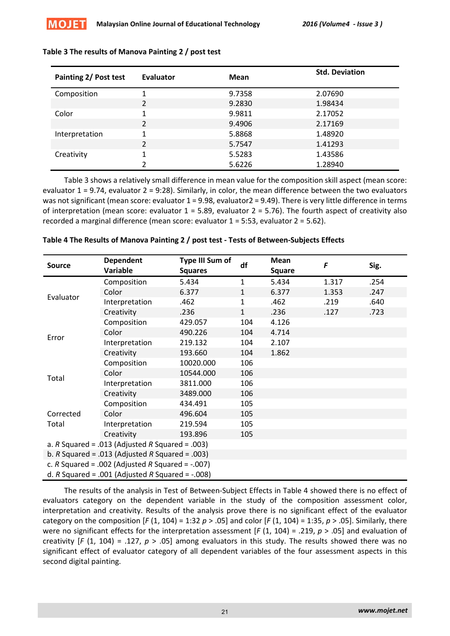| Painting 2/ Post test | Evaluator      | Mean   | <b>Std. Deviation</b> |
|-----------------------|----------------|--------|-----------------------|
| Composition           |                | 9.7358 | 2.07690               |
|                       | 2              | 9.2830 | 1.98434               |
| Color                 | 1              | 9.9811 | 2.17052               |
|                       | $\mathcal{L}$  | 9.4906 | 2.17169               |
| Interpretation        | 1              | 5.8868 | 1.48920               |
|                       | $\overline{2}$ | 5.7547 | 1.41293               |
| Creativity            | 1              | 5.5283 | 1.43586               |
|                       |                | 5.6226 | 1.28940               |

# **Table 3 The results of Manova Painting 2 / post test**

Table 3 shows a relatively small difference in mean value for the composition skill aspect (mean score: evaluator 1 = 9.74, evaluator 2 = 9:28). Similarly, in color, the mean difference between the two evaluators was not significant (mean score: evaluator 1 = 9.98, evaluator 2 = 9.49). There is very little difference in terms of interpretation (mean score: evaluator  $1 = 5.89$ , evaluator  $2 = 5.76$ ). The fourth aspect of creativity also recorded a marginal difference (mean score: evaluator 1 = 5:53, evaluator 2 = 5.62).

| <b>Source</b>                                       | <b>Dependent</b><br>Variable | Type III Sum of<br><b>Squares</b> | df           | <b>Mean</b><br><b>Square</b> | F     | Sig. |
|-----------------------------------------------------|------------------------------|-----------------------------------|--------------|------------------------------|-------|------|
| Evaluator                                           | Composition                  | 5.434                             | $\mathbf{1}$ | 5.434                        | 1.317 | .254 |
|                                                     | Color                        | 6.377                             | $\mathbf{1}$ | 6.377                        | 1.353 | .247 |
|                                                     | Interpretation               | .462                              | $\mathbf{1}$ | .462                         | .219  | .640 |
|                                                     | Creativity                   | .236                              | $\mathbf{1}$ | .236                         | .127  | .723 |
| Error                                               | Composition                  | 429.057                           | 104          | 4.126                        |       |      |
|                                                     | Color                        | 490.226                           | 104          | 4.714                        |       |      |
|                                                     | Interpretation               | 219.132                           | 104          | 2.107                        |       |      |
|                                                     | Creativity                   | 193.660                           | 104          | 1.862                        |       |      |
| Total                                               | Composition                  | 10020.000                         | 106          |                              |       |      |
|                                                     | Color                        | 10544.000                         | 106          |                              |       |      |
|                                                     | Interpretation               | 3811.000                          | 106          |                              |       |      |
|                                                     | Creativity                   | 3489.000                          | 106          |                              |       |      |
|                                                     | Composition                  | 434.491                           | 105          |                              |       |      |
| Corrected<br>Total                                  | Color                        | 496.604                           | 105          |                              |       |      |
|                                                     | Interpretation               | 219.594                           | 105          |                              |       |      |
|                                                     | Creativity                   | 193.896                           | 105          |                              |       |      |
| a. $R$ Squared = .013 (Adjusted $R$ Squared = .003) |                              |                                   |              |                              |       |      |
| b. $R$ Squared = .013 (Adjusted $R$ Squared = .003) |                              |                                   |              |                              |       |      |
| c. R Squared = .002 (Adjusted R Squared = $-.007$ ) |                              |                                   |              |                              |       |      |
| d. R Squared = .001 (Adjusted R Squared = $-.008$ ) |                              |                                   |              |                              |       |      |

## **Table 4 The Results of Manova Painting 2 / post test - Tests of Between-Subjects Effects**

The results of the analysis in Test of Between-Subject Effects in Table 4 showed there is no effect of evaluators category on the dependent variable in the study of the composition assessment color, interpretation and creativity. Results of the analysis prove there is no significant effect of the evaluator category on the composition  $[F(1, 104) = 1:32 \, p > .05]$  and color  $[F(1, 104) = 1:35, p > .05]$ . Similarly, there were no significant effects for the interpretation assessment [*F* (1, 104) = .219, *p* > .05] and evaluation of creativity  $[F (1, 104) = .127, p > .05]$  among evaluators in this study. The results showed there was no significant effect of evaluator category of all dependent variables of the four assessment aspects in this second digital painting.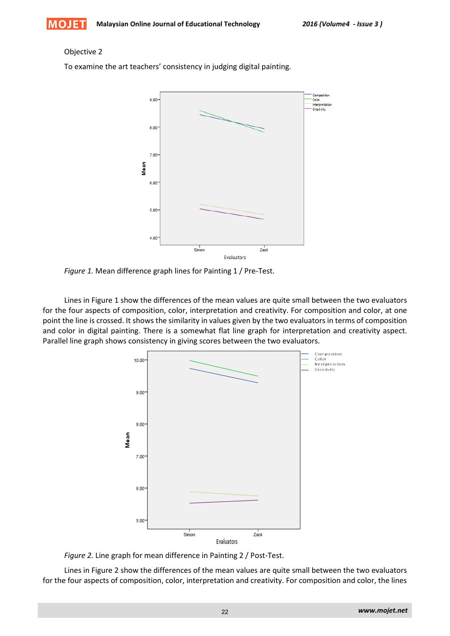## Objective 2

To examine the art teachers' consistency in judging digital painting.



*Figure 1.* Mean difference graph lines for Painting 1 / Pre-Test.

Lines in Figure 1 show the differences of the mean values are quite small between the two evaluators for the four aspects of composition, color, interpretation and creativity. For composition and color, at one point the line is crossed. It shows the similarity in values given by the two evaluators in terms of composition and color in digital painting. There is a somewhat flat line graph for interpretation and creativity aspect. Parallel line graph shows consistency in giving scores between the two evaluators.



*Figure 2.* Line graph for mean difference in Painting 2 / Post-Test.

Lines in Figure 2 show the differences of the mean values are quite small between the two evaluators for the four aspects of composition, color, interpretation and creativity. For composition and color, the lines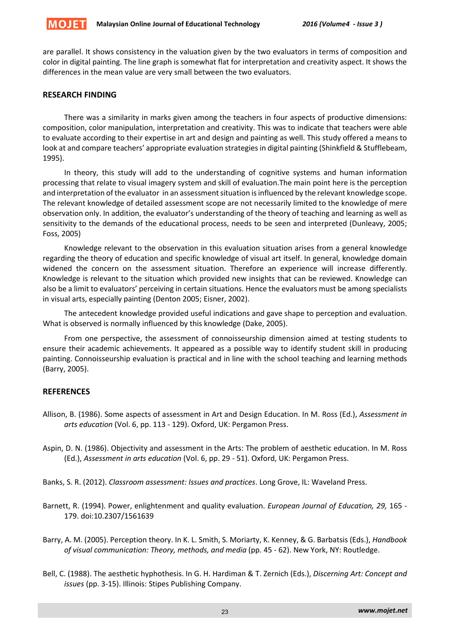

are parallel. It shows consistency in the valuation given by the two evaluators in terms of composition and color in digital painting. The line graph is somewhat flat for interpretation and creativity aspect. It shows the differences in the mean value are very small between the two evaluators.

# **RESEARCH FINDING**

There was a similarity in marks given among the teachers in four aspects of productive dimensions: composition, color manipulation, interpretation and creativity. This was to indicate that teachers were able to evaluate according to their expertise in art and design and painting as well. This study offered a means to look at and compare teachers' appropriate evaluation strategies in digital painting (Shinkfield & Stufflebeam, 1995).

In theory, this study will add to the understanding of cognitive systems and human information processing that relate to visual imagery system and skill of evaluation.The main point here is the perception and interpretation of the evaluator in an assessment situation is influenced by the relevant knowledge scope. The relevant knowledge of detailed assessment scope are not necessarily limited to the knowledge of mere observation only. In addition, the evaluator's understanding of the theory of teaching and learning as well as sensitivity to the demands of the educational process, needs to be seen and interpreted (Dunleavy, 2005; Foss, 2005)

Knowledge relevant to the observation in this evaluation situation arises from a general knowledge regarding the theory of education and specific knowledge of visual art itself. In general, knowledge domain widened the concern on the assessment situation. Therefore an experience will increase differently. Knowledge is relevant to the situation which provided new insights that can be reviewed. Knowledge can also be a limit to evaluators' perceiving in certain situations. Hence the evaluators must be among specialists in visual arts, especially painting (Denton 2005; Eisner, 2002).

The antecedent knowledge provided useful indications and gave shape to perception and evaluation. What is observed is normally influenced by this knowledge (Dake, 2005).

From one perspective, the assessment of connoisseurship dimension aimed at testing students to ensure their academic achievements. It appeared as a possible way to identify student skill in producing painting. Connoisseurship evaluation is practical and in line with the school teaching and learning methods (Barry, 2005).

# **REFERENCES**

- Allison, B. (1986). Some aspects of assessment in Art and Design Education. In M. Ross (Ed.), *Assessment in arts education* (Vol. 6, pp. 113 - 129). Oxford, UK: Pergamon Press.
- Aspin, D. N. (1986). Objectivity and assessment in the Arts: The problem of aesthetic education. In M. Ross (Ed.), *Assessment in arts education* (Vol. 6, pp. 29 - 51). Oxford, UK: Pergamon Press.
- Banks, S. R. (2012). *Classroom assessment: Issues and practices*. Long Grove, IL: Waveland Press.
- Barnett, R. (1994). Power, enlightenment and quality evaluation. *European Journal of Education, 29,* 165 179. doi:10.2307/1561639
- Barry, A. M. (2005). Perception theory. In K. L. Smith, S. Moriarty, K. Kenney, & G. Barbatsis (Eds.), *Handbook of visual communication: Theory, methods, and media* (pp. 45 - 62). New York, NY: Routledge.
- Bell, C. (1988). The aesthetic hyphothesis. In G. H. Hardiman & T. Zernich (Eds.), *Discerning Art: Concept and issues* (pp. 3-15). Illinois: Stipes Publishing Company.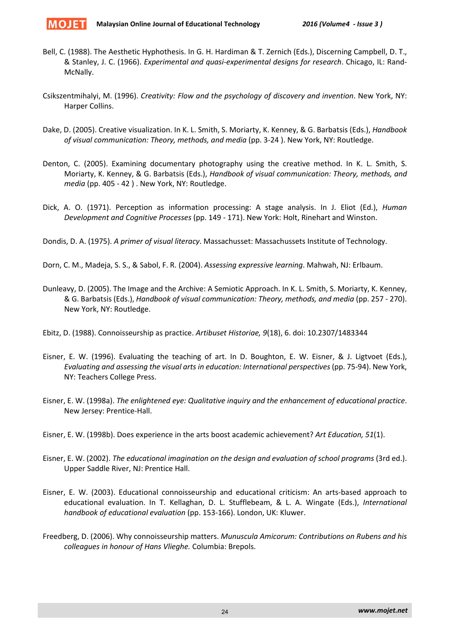

- Bell, C. (1988). The Aesthetic Hyphothesis. In G. H. Hardiman & T. Zernich (Eds.), Discerning Campbell, D. T., & Stanley, J. C. (1966). *Experimental and quasi-experimental designs for research*. Chicago, IL: Rand-McNally.
- Csikszentmihalyi, M. (1996). *Creativity: Flow and the psychology of discovery and invention*. New York, NY: Harper Collins.
- Dake, D. (2005). Creative visualization. In K. L. Smith, S. Moriarty, K. Kenney, & G. Barbatsis (Eds.), *Handbook of visual communication: Theory, methods, and media* (pp. 3-24 ). New York, NY: Routledge.
- Denton, C. (2005). Examining documentary photography using the creative method. In K. L. Smith, S. Moriarty, K. Kenney, & G. Barbatsis (Eds.), *Handbook of visual communication: Theory, methods, and media* (pp. 405 - 42 ) . New York, NY: Routledge.
- Dick, A. O. (1971). Perception as information processing: A stage analysis. In J. Eliot (Ed.), *Human Development and Cognitive Processes* (pp. 149 - 171). New York: Holt, Rinehart and Winston.

Dondis, D. A. (1975). *A primer of visual literacy*. Massachusset: Massachussets Institute of Technology.

Dorn, C. M., Madeja, S. S., & Sabol, F. R. (2004). *Assessing expressive learning*. Mahwah, NJ: Erlbaum.

- Dunleavy, D. (2005). The Image and the Archive: A Semiotic Approach. In K. L. Smith, S. Moriarty, K. Kenney, & G. Barbatsis (Eds.), *Handbook of visual communication: Theory, methods, and media* (pp. 257 - 270). New York, NY: Routledge.
- Ebitz, D. (1988). Connoisseurship as practice. *Artibuset Historiae, 9*(18), 6. doi: 10.2307/1483344
- Eisner, E. W. (1996). Evaluating the teaching of art. In D. Boughton, E. W. Eisner, & J. Ligtvoet (Eds.), *Evaluating and assessing the visual arts in education: International perspectives*(pp. 75-94). New York, NY: Teachers College Press.
- Eisner, E. W. (1998a). *The enlightened eye: Qualitative inquiry and the enhancement of educational practice*. New Jersey: Prentice-Hall.
- Eisner, E. W. (1998b). Does experience in the arts boost academic achievement? *Art Education, 51*(1).
- Eisner, E. W. (2002). *The educational imagination on the design and evaluation of school programs* (3rd ed.). Upper Saddle River, NJ: Prentice Hall.
- Eisner, E. W. (2003). Educational connoisseurship and educational criticism: An arts-based approach to educational evaluation. In T. Kellaghan, D. L. Stufflebeam, & L. A. Wingate (Eds.), *International handbook of educational evaluation* (pp. 153-166). London, UK: Kluwer.
- Freedberg, D. (2006). Why connoisseurship matters. *Munuscula Amicorum: Contributions on Rubens and his colleagues in honour of Hans Vlieghe.* Columbia: Brepols.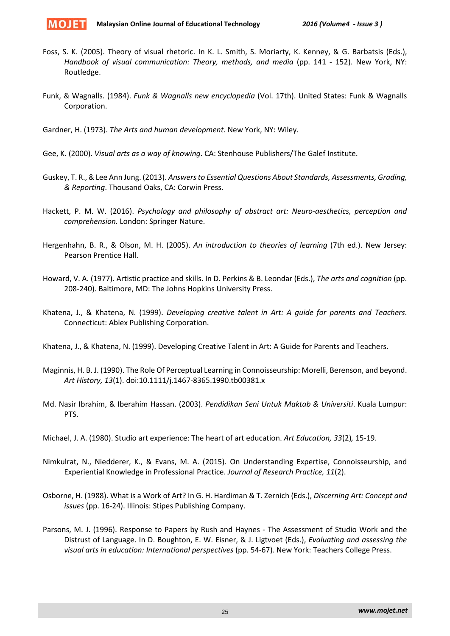

- Foss, S. K. (2005). Theory of visual rhetoric. In K. L. Smith, S. Moriarty, K. Kenney, & G. Barbatsis (Eds.), *Handbook of visual communication: Theory, methods, and media* (pp. 141 - 152). New York, NY: Routledge.
- Funk, & Wagnalls. (1984). *Funk & Wagnalls new encyclopedia* (Vol. 17th). United States: Funk & Wagnalls Corporation.

Gardner, H. (1973). *The Arts and human development*. New York, NY: Wiley.

- Gee, K. (2000). *Visual arts as a way of knowing*. CA: Stenhouse Publishers/The Galef Institute.
- Guskey, T. R., & Lee Ann Jung. (2013). *Answers to Essential Questions About Standards, Assessments, Grading, & Reporting*. Thousand Oaks, CA: Corwin Press.
- Hackett, P. M. W. (2016). *Psychology and philosophy of abstract art: Neuro-aesthetics, perception and comprehension.* London: Springer Nature.
- Hergenhahn, B. R., & Olson, M. H. (2005). *An introduction to theories of learning* (7th ed.). New Jersey: Pearson Prentice Hall.
- Howard, V. A. (1977). Artistic practice and skills. In D. Perkins & B. Leondar (Eds.), *The arts and cognition* (pp. 208-240). Baltimore, MD: The Johns Hopkins University Press.
- Khatena, J., & Khatena, N. (1999). *Developing creative talent in Art: A guide for parents and Teachers*. Connecticut: Ablex Publishing Corporation.

Khatena, J., & Khatena, N. (1999). Developing Creative Talent in Art: A Guide for Parents and Teachers.

- Maginnis, H. B. J. (1990). The Role Of Perceptual Learning in Connoisseurship: Morelli, Berenson, and beyond. *Art History, 13*(1). doi:10.1111/j.1467-8365.1990.tb00381.x
- Md. Nasir Ibrahim, & Iberahim Hassan. (2003). *Pendidikan Seni Untuk Maktab & Universiti*. Kuala Lumpur: PTS.
- Michael, J. A. (1980). Studio art experience: The heart of art education. *Art Education, 33*(2)*,* 15-19.
- Nimkulrat, N., Niedderer, K., & Evans, M. A. (2015). On Understanding Expertise, Connoisseurship, and Experiential Knowledge in Professional Practice. *Journal of Research Practice, 11*(2).
- Osborne, H. (1988). What is a Work of Art? In G. H. Hardiman & T. Zernich (Eds.), *Discerning Art: Concept and issues* (pp. 16-24). Illinois: Stipes Publishing Company.
- Parsons, M. J. (1996). Response to Papers by Rush and Haynes The Assessment of Studio Work and the Distrust of Language. In D. Boughton, E. W. Eisner, & J. Ligtvoet (Eds.), *Evaluating and assessing the visual arts in education: International perspectives* (pp. 54-67). New York: Teachers College Press.